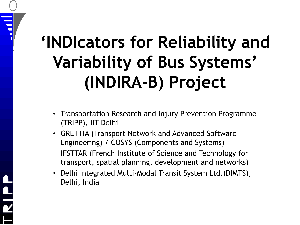### **'INDIcators for Reliability and Variability of Bus Systems' (INDIRA-B) Project**

 $\blacksquare$ 

- Transportation Research and Injury Prevention Programme (TRIPP), IIT Delhi
- GRETTIA (Transport Network and Advanced Software Engineering) / COSYS (Components and Systems) IFSTTAR (French Institute of Science and Technology for transport, spatial planning, development and networks)
- Delhi Integrated Multi-Modal Transit System Ltd.(DIMTS), Delhi, India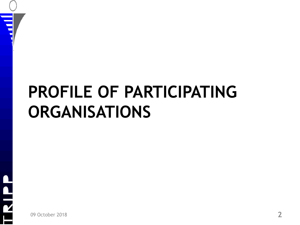#### **PROFILE OF PARTICIPATING ORGANISATIONS**

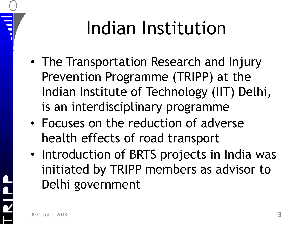# Indian Institution

- The Transportation Research and Injury Prevention Programme (TRIPP) at the Indian Institute of Technology (IIT) Delhi, is an interdisciplinary programme
- Focuses on the reduction of adverse health effects of road transport
- Introduction of BRTS projects in India was initiated by TRIPP members as advisor to Delhi government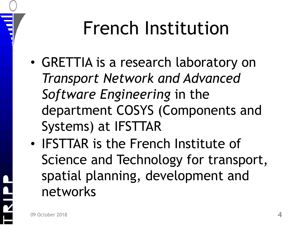## French Institution

- GRETTIA is a research laboratory on *Transport Network and Advanced Software Engineering* in the department COSYS (Components and Systems) at IFSTTAR
- **IFSTTAR** is the French Institute of Science and Technology for transport, spatial planning, development and networks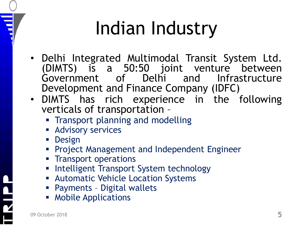# Indian Industry

- Delhi Integrated Multimodal Transit System Ltd. (DIMTS) is a 50:50 joint venture between Government of Delhi and Infrastructure Development and Finance Company (IDFC)
- DIMTS has rich experience in the following verticals of transportation –
	- **Transport planning and modelling**
	- **Advisory services**
	- **Design**

Ē

- **Project Management and Independent Engineer**
- **Transport operations**
- **Intelligent Transport System technology**
- **Automatic Vehicle Location Systems**
- Payments Digital wallets
- **Mobile Applications**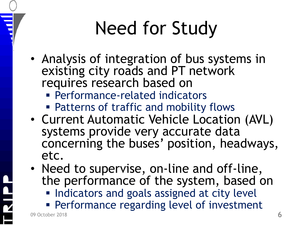# Need for Study

- Analysis of integration of bus systems in existing city roads and PT network requires research based on
	- Performance-related indicators
	- Patterns of traffic and mobility flows
- Current Automatic Vehicle Location (AVL) systems provide very accurate data concerning the buses' position, headways, etc.
- Need to supervise, on-line and off-line, the performance of the system, based on **Indicators and goals assigned at city level** 
	- **Performance regarding level of investment**

09 October 2018 **6**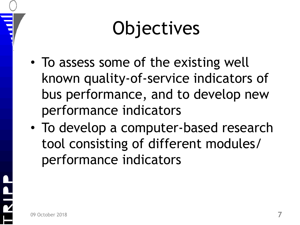# **Objectives**

- To assess some of the existing well known quality-of-service indicators of bus performance, and to develop new performance indicators
- To develop a computer-based research tool consisting of different modules/ performance indicators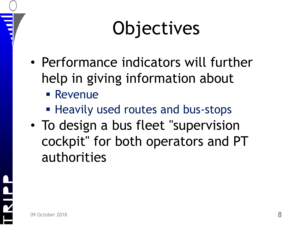# **Objectives**

- Performance indicators will further help in giving information about
	- **Revenue**
	- **Heavily used routes and bus-stops**
- To design a bus fleet "supervision" cockpit" for both operators and PT authorities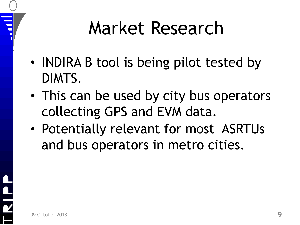## Market Research

- **INDIRA B tool is being pilot tested by** DIMTS.
- This can be used by city bus operators collecting GPS and EVM data.
- Potentially relevant for most ASRTUs and bus operators in metro cities.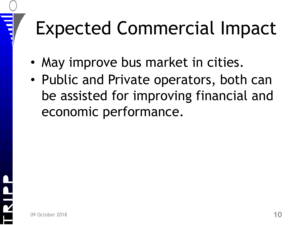# Expected Commercial Impact

- May improve bus market in cities.
- Public and Private operators, both can be assisted for improving financial and economic performance.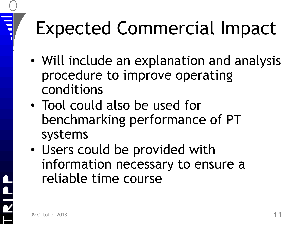# Expected Commercial Impact

- Will include an explanation and analysis procedure to improve operating conditions
- Tool could also be used for benchmarking performance of PT systems
- Users could be provided with information necessary to ensure a reliable time course

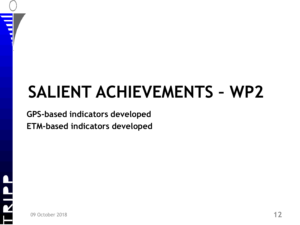## **SALIENT ACHIEVEMENTS – WP2**

#### **GPS-based indicators developed ETM-based indicators developed**



 $\overline{\phantom{0}}$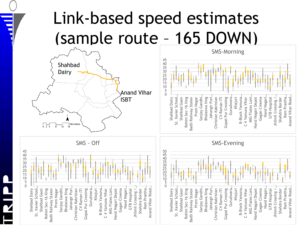#### Link-based speed estimates (sample route – 165 DOWN)



 $\overline{\phantom{0}}$ 

SMS - Off





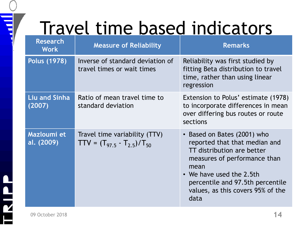## Travel time based indicators

| <b>Research</b><br><b>Work</b> | <b>Measure of Reliability</b>                                        | <b>Remarks</b>                                                                                                                                                                                                                                  |
|--------------------------------|----------------------------------------------------------------------|-------------------------------------------------------------------------------------------------------------------------------------------------------------------------------------------------------------------------------------------------|
| Polus (1978)                   | Inverse of standard deviation of<br>travel times or wait times       | Reliability was first studied by<br>fitting Beta distribution to travel<br>time, rather than using linear<br>regression                                                                                                                         |
| <b>Liu and Sinha</b><br>(2007) | Ratio of mean travel time to<br>standard deviation                   | Extension to Polus' estimate (1978)<br>to incorporate differences in mean<br>over differing bus routes or route<br>sections                                                                                                                     |
| Mazloumi et<br>al. (2009)      | Travel time variability (TTV)<br>$TTV = (T_{97.5} - T_{2.5})/T_{50}$ | • Based on Bates (2001) who<br>reported that that median and<br>TT distribution are better<br>measures of performance than<br>mean<br>• We have used the 2.5th<br>percentile and 97.5th percentile<br>values, as this covers 95% of the<br>data |

 $\overline{\phantom{a}}$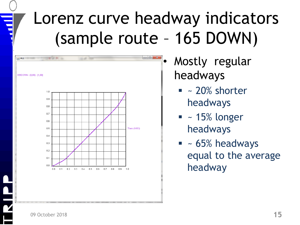### Lorenz curve headway indicators (sample route – 165 DOWN)



- Mostly regular headways
	- $\blacksquare$  ~ 20% shorter headways
	- $\blacksquare$  ~ 15% longer headways
	- $\blacksquare$  ~ 65% headways equal to the average headway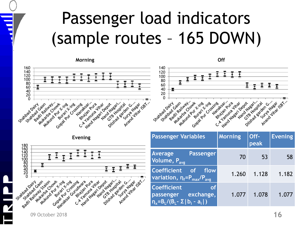#### Passenger load indicators (sample routes – 165 DOWN)





| <b>Passenger Variables</b>                                                                                         | <b>Morning</b> | Off-<br>peak | <b>Evening</b> |
|--------------------------------------------------------------------------------------------------------------------|----------------|--------------|----------------|
| <b>Average</b><br><b>Passenger</b><br>Volume, P <sub>avg</sub>                                                     | 70             | 53           | 58             |
| <b>Coefficient</b><br>of<br>flow<br>variation, $\eta_f = P_{\text{max}}/P_{\text{avg}}$                            | 1.260          | 1.128        | 1.182          |
| <b>Coefficient</b><br><b>of</b><br>exchange,<br>passenger<br>$\eta_{x} = B_{L}/(B_{L} - \Sigma   b_{i} - a_{i}  )$ | 1.077          | 1.078        | 1.077          |

09 October 2018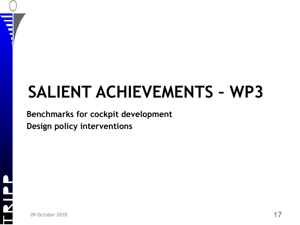## **SALIENT ACHIEVEMENTS – WP3**

#### **Benchmarks for cockpit development Design policy interventions**



 $\overline{\phantom{a}}$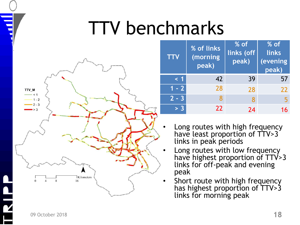## TTV benchmarks



| <b>TTV</b> | % of links<br>(morning<br>peak) | $%$ of<br>links (off<br>peak) | $%$ of<br>links<br>(evening<br>peak) |
|------------|---------------------------------|-------------------------------|--------------------------------------|
| $\leq 1$   | 42                              | 39                            | 57                                   |
| $1 - 2$    | 28                              | 28                            | 22                                   |
| $2 - 3$    | 8                               | 8                             | 5                                    |
| > 3        | 22                              | 24                            | 16                                   |

- Long routes with high frequency have least proportion of TTV>3 links in peak periods
- Long routes with low frequency have highest proportion of TTV>3 links for off-peak and evening peak
- Short route with high frequency has highest proportion of TTV>3 links for morning peak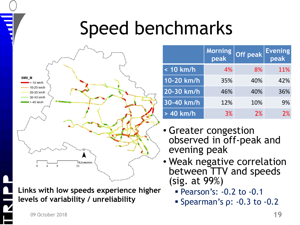## Speed benchmarks



**Links with low speeds experience higher levels of variability / unreliability**

|             | Morning<br>peak | Off peak | <b>Evening</b><br>peak |
|-------------|-----------------|----------|------------------------|
| < 10 km/h   | 4%              | 8%       | 11%                    |
| 10-20 km/h  | 35%             | 40%      | 42%                    |
| 20-30 km/h  | 46%             | 40%      | 36%                    |
| 30-40 km/h  | 12%             | 10%      | 9%                     |
| $> 40$ km/h | 3%              | 2%       | 2%                     |

- Greater congestion observed in off-peak and evening peak
- Weak negative correlation between TTV and speeds (sig. at 99%)
	- Pearson's: -0.2 to -0.1
	- Spearman's  $\rho$ : -0.3 to -0.2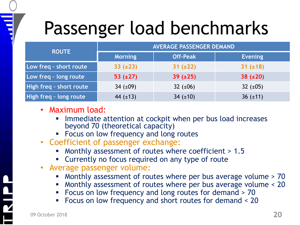## Passenger load benchmarks

|                         | <b>AVERAGE PASSENGER DEMAND</b> |                 |                |
|-------------------------|---------------------------------|-----------------|----------------|
| <b>ROUTE</b>            | <b>Morning</b>                  | <b>Off-Peak</b> | <b>Evening</b> |
| Low freq - short route  | $33 (+23)$                      | $31 (\pm 22)$   | $31 (+18)$     |
| Low freq - long route   | 53 $(\pm 27)$                   | $39 (+25)$      | $38 (+20)$     |
| High freq - short route | 34 $(\pm 09)$                   | 32 $(\pm 06)$   | 32 $(\pm 05)$  |
| High freq - long route  | 44 $(\pm 13)$                   | 34 $(\pm 10)$   | 36 $(\pm 11)$  |

- Maximum load:
	- Immediate attention at cockpit when per bus load increases beyond 70 (theoretical capacity)
	- **Focus on low frequency and long routes**
- Coefficient of passenger exchange:
	- Monthly assessment of routes where coefficient > 1.5
	- **EX Currently no focus required on any type of route**
- Average passenger volume:
	- Monthly assessment of routes where per bus average volume > 70
	- Monthly assessment of routes where per bus average volume < 20
	- Focus on low frequency and long routes for demand > 70
	- Focus on low frequency and short routes for demand < 20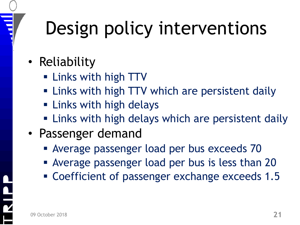# Design policy interventions

- Reliability
	- **Example 1 Links with high TTV**
	- **Example 2 Finds** with high TTV which are persistent daily
	- **Example 1 Links with high delays**
	- **Example 2 Finks with high delays which are persistent daily**
- Passenger demand
	- Average passenger load per bus exceeds 70
	- Average passenger load per bus is less than 20
	- Coefficient of passenger exchange exceeds 1.5

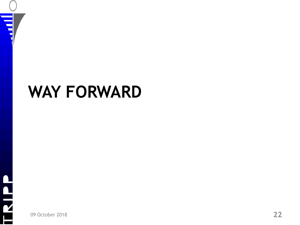

#### **WAY FORWARD**



09 October 2018 **22**